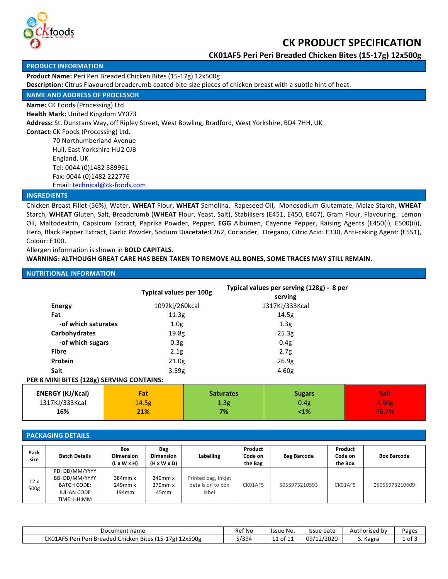

# **CK PRODUCT SPECIFICATION**

**CK01AF5 Peri Peri Breaded Chicken Bites (15-17g) 12x500g**

#### **PRODUCT INFORMATION**

Product Name: Peri Peri Breaded Chicken Bites (15-17g) 12x500g

**Description:** Citrus Flavoured breadcrumb coated bite-size pieces of chicken breast with a subtle hint of heat.

# **NAME AND ADDRESS OF PROCESSOR**

**Name:** CK Foods (Processing) Ltd

**Health Mark:** United Kingdom VY073

Address: St. Dunstans Way, off Ripley Street, West Bowling, Bradford, West Yorkshire, BD4 7HH, UK

**Contact:** CK Foods (Processing) Ltd. 70 Northumberland Avenue Hull, East Yorkshire HU2 OJB England, UK Tel: 0044 (0)1482 589961 Fax: 0044 (0)1482 222776

Email: technical@ck-foods.com

#### **INGREDIENTS**

Chicken Breast Fillet (56%), Water, WHEAT Flour, WHEAT Semolina, Rapeseed Oil, Monosodium Glutamate, Maize Starch, WHEAT Starch, WHEAT Gluten, Salt, Breadcrumb (WHEAT Flour, Yeast, Salt), Stabilisers (E451, E450, E407), Gram Flour, Flavouring, Lemon Oil, Maltodextrin, Capsicum Extract, Paprika Powder, Pepper, EGG Albumen, Cayenne Pepper, Raising Agents (E450(i), E500(ii)), Herb, Black Pepper Extract, Garlic Powder, Sodium Diacetate:E262, Coriander, Oregano, Citric Acid: E330, Anti-caking Agent: (E551), Colour: E100.

Allergen information is shown in **BOLD CAPITALS**.

#### WARNING: ALTHOUGH GREAT CARE HAS BEEN TAKEN TO REMOVE ALL BONES, SOME TRACES MAY STILL REMAIN.

### **NUTRITIONAL INFORMATION**

|                                           | Typical values per 100g |                  | Typical values per serving (128g) - 8 per |       |  |  |
|-------------------------------------------|-------------------------|------------------|-------------------------------------------|-------|--|--|
|                                           |                         |                  | serving                                   |       |  |  |
| <b>Energy</b>                             | 1092kj/260kcal          |                  | 1317KJ/333Kcal                            |       |  |  |
| Fat                                       | 11.3g                   |                  | 14.5g                                     |       |  |  |
| -of which saturates                       | 1.0 <sub>g</sub>        |                  | 1.3 <sub>g</sub>                          |       |  |  |
| Carbohydrates                             | 19.8g                   |                  | 25.3g                                     |       |  |  |
| -of which sugars                          | 0.3 <sub>g</sub>        |                  | 0.4 <sub>g</sub>                          |       |  |  |
| <b>Fibre</b>                              | 2.1 <sub>g</sub>        |                  | 2.7g                                      |       |  |  |
| Protein                                   | 21.0 <sub>g</sub>       |                  | 26.9g                                     |       |  |  |
| Salt                                      | 3.59g                   |                  | 4.60 <sub>g</sub>                         |       |  |  |
| PER 8 MINI BITES (128g) SERVING CONTAINS: |                         |                  |                                           |       |  |  |
| <b>ENERGY (KJ/Kcal)</b>                   | Fat                     | <b>Saturates</b> | <b>Sugars</b>                             | Salt: |  |  |

| ENERGY (KJ/KCal) | <u>rat</u> | <b>Saturates</b> | sugars | зап   |
|------------------|------------|------------------|--------|-------|
| 1317KJ/333Kcal   | 14.5g      | 1.3g             | 0.4g   | 4.60g |
| 16%              | 21%        | 7%               | $1\%$  | 76.7% |
|                  |            |                  |        |       |

#### **PACKAGING DETAILS**

 $\Gamma$ 

| Pack<br>size            | <b>Batch Details</b>                                                                        | <b>Box</b><br><b>Dimension</b><br>$(L \times W \times H)$ | Bag<br><b>Dimension</b><br>$(H \times W \times D)$ | Labelling                                         | Product<br>Code on<br>the Bag | <b>Bag Barcode</b> | Product<br>Code on<br>the Box | <b>Box Barcode</b> |
|-------------------------|---------------------------------------------------------------------------------------------|-----------------------------------------------------------|----------------------------------------------------|---------------------------------------------------|-------------------------------|--------------------|-------------------------------|--------------------|
| 12x<br>500 <sub>g</sub> | PD: DD/MM/YYYY<br>BB: DD/MM/YYYY<br><b>BATCH CODE:</b><br><b>JULIAN CODE</b><br>TIME: HH:MM | 384mm x<br>$249$ mm $x$<br>194mm                          | $240$ mm $x$<br>$270$ mm $x$<br>45 <sub>mm</sub>   | Printed bag, Inkjet<br>details on to box<br>label | CK01AF5                       | 5055973210593      | CK01AF5                       | 05055973210609     |

| Document name                                                       | <b>Ref No</b> | Issue No.            | Issue date | Authorised by | Pages |
|---------------------------------------------------------------------|---------------|----------------------|------------|---------------|-------|
| 12x500g<br>CK01AF5 Peri<br>ri Peri Breaded Chicken Bites (15-17g) : | 493/د         | $\pm 1$ of $1^\circ$ | 09/12/2020 | ົ Kagra       | of 3  |